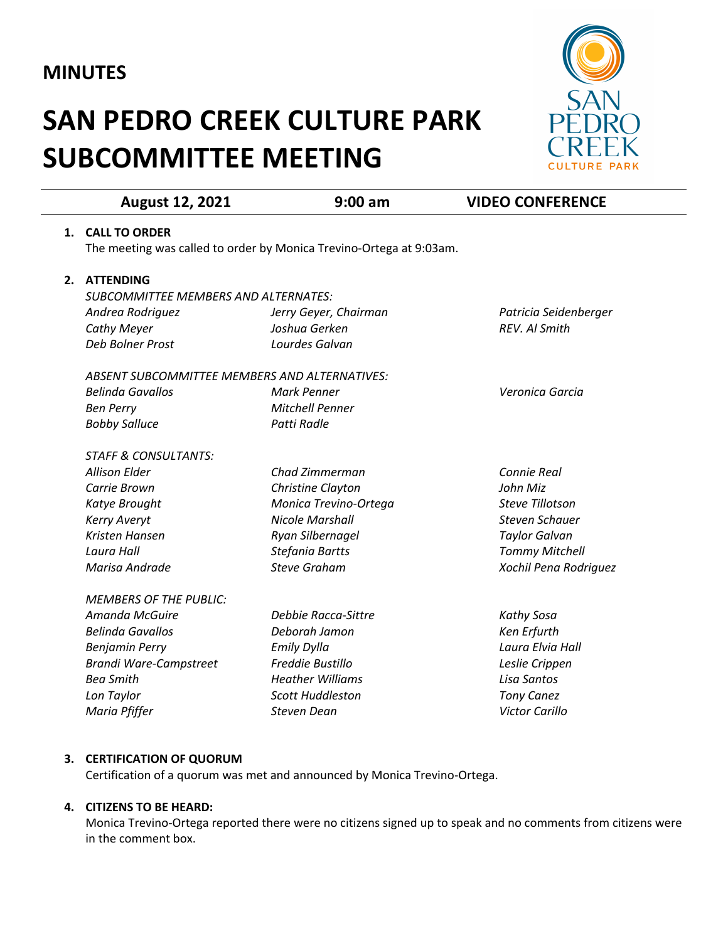## **MINUTES**

# **SAN PEDRO CREEK CULTURE PARK SUBCOMMITTEE MEETING**



|    | <b>August 12, 2021</b>                        | $9:00$ am                                                           | <b>VIDEO CONFERENCE</b> |
|----|-----------------------------------------------|---------------------------------------------------------------------|-------------------------|
|    | 1. CALL TO ORDER                              |                                                                     |                         |
|    |                                               | The meeting was called to order by Monica Trevino-Ortega at 9:03am. |                         |
|    |                                               |                                                                     |                         |
| 2. | <b>ATTENDING</b>                              |                                                                     |                         |
|    | <b>SUBCOMMITTEE MEMBERS AND ALTERNATES:</b>   |                                                                     |                         |
|    | Andrea Rodriguez                              | Jerry Geyer, Chairman                                               | Patricia Seidenberger   |
|    | <b>Cathy Meyer</b>                            | Joshua Gerken                                                       | REV. Al Smith           |
|    | Deb Bolner Prost                              | Lourdes Galvan                                                      |                         |
|    | ABSENT SUBCOMMITTEE MEMBERS AND ALTERNATIVES: |                                                                     |                         |
|    | <b>Belinda Gavallos</b>                       | Mark Penner                                                         | Veronica Garcia         |
|    | <b>Ben Perry</b>                              | <b>Mitchell Penner</b>                                              |                         |
|    | <b>Bobby Salluce</b>                          | Patti Radle                                                         |                         |
|    | <b>STAFF &amp; CONSULTANTS:</b>               |                                                                     |                         |
|    | <b>Allison Elder</b>                          | Chad Zimmerman                                                      | Connie Real             |
|    | Carrie Brown                                  | Christine Clayton                                                   | John Miz                |
|    | Katye Brought                                 | Monica Trevino-Ortega                                               | <b>Steve Tillotson</b>  |
|    | <b>Kerry Averyt</b>                           | <b>Nicole Marshall</b>                                              | Steven Schauer          |
|    | Kristen Hansen                                | Ryan Silbernagel                                                    | <b>Taylor Galvan</b>    |
|    | Laura Hall                                    | Stefania Bartts                                                     | <b>Tommy Mitchell</b>   |
|    | Marisa Andrade                                | <b>Steve Graham</b>                                                 | Xochil Pena Rodriguez   |
|    |                                               |                                                                     |                         |
|    | <b>MEMBERS OF THE PUBLIC:</b>                 |                                                                     |                         |
|    | Amanda McGuire                                | Debbie Racca-Sittre                                                 | Kathy Sosa              |
|    | <b>Belinda Gavallos</b>                       | Deborah Jamon                                                       | Ken Erfurth             |
|    | <b>Benjamin Perry</b>                         | <b>Emily Dylla</b>                                                  | Laura Elvia Hall        |
|    | <b>Brandi Ware-Campstreet</b>                 | Freddie Bustillo                                                    | Leslie Crippen          |
|    | <b>Bea Smith</b>                              | <b>Heather Williams</b>                                             | Lisa Santos             |
|    | Lon Taylor                                    | <b>Scott Huddleston</b>                                             | <b>Tony Canez</b>       |
|    | Maria Pfiffer                                 | Steven Dean                                                         | Victor Carillo          |

#### **3. CERTIFICATION OF QUORUM**

Certification of a quorum was met and announced by Monica Trevino-Ortega.

### **4. CITIZENS TO BE HEARD:**

Monica Trevino-Ortega reported there were no citizens signed up to speak and no comments from citizens were in the comment box.